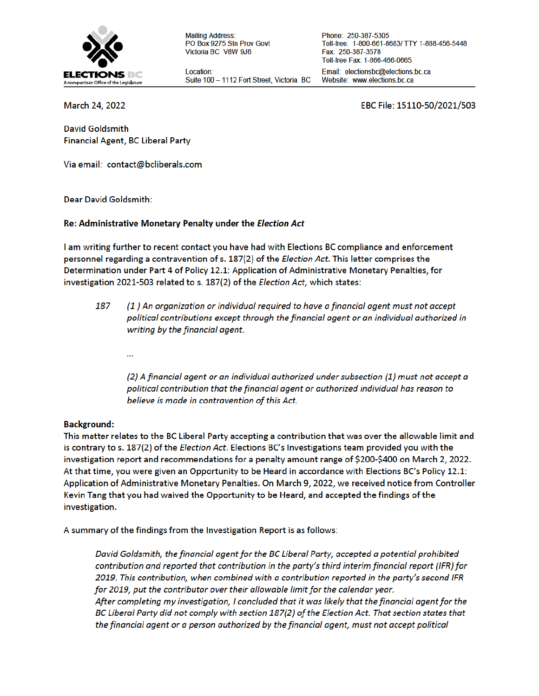

**Mailing Address:** PO Box 9275 Stn Prov Govt Victoria BC V8W 9J6

Location: Suite 100 - 1112 Fort Street, Victoria BC

Phone: 250-387-5305 Toll-free: 1-800-661-8683/ TTY 1-888-456-5448 Fax: 250-387-3578 Toll-free Fax: 1-866-466-0665 Email: electionsbc@elections.bc.ca Website: www.elections.bc.ca

March 24, 2022

EBC File: 15110-50/2021/503

**David Goldsmith** Financial Agent, BC Liberal Party

Via email: contact@bcliberals.com

**Dear David Goldsmith:** 

#### Re: Administrative Monetary Penalty under the Election Act

I am writing further to recent contact you have had with Elections BC compliance and enforcement personnel regarding a contravention of s. 187(2) of the *Election Act*. This letter comprises the Determination under Part 4 of Policy 12.1: Application of Administrative Monetary Penalties, for investigation 2021-503 related to s. 187(2) of the Election Act, which states:

- 187 (1) An organization or individual required to have a financial agent must not accept political contributions except through the financial agent or an individual authorized in writing by the financial agent.
	- ...

(2) A financial agent or an individual authorized under subsection (1) must not accept a political contribution that the financial agent or authorized individual has reason to believe is made in contravention of this Act.

### **Background:**

This matter relates to the BC Liberal Party accepting a contribution that was over the allowable limit and is contrary to s. 187(2) of the *Election Act*. Elections BC's Investigations team provided you with the investigation report and recommendations for a penalty amount range of \$200-\$400 on March 2, 2022. At that time, you were given an Opportunity to be Heard in accordance with Elections BC's Policy 12.1: Application of Administrative Monetary Penalties. On March 9, 2022, we received notice from Controller Kevin Tang that you had waived the Opportunity to be Heard, and accepted the findings of the investigation.

A summary of the findings from the Investigation Report is as follows:

David Goldsmith, the financial agent for the BC Liberal Party, accepted a potential prohibited contribution and reported that contribution in the party's third interim financial report (IFR) for 2019. This contribution, when combined with a contribution reported in the party's second IFR for 2019, put the contributor over their allowable limit for the calendar year. After completing my investigation, I concluded that it was likely that the financial agent for the BC Liberal Party did not comply with section 187(2) of the Election Act. That section states that the financial agent or a person authorized by the financial agent, must not accept political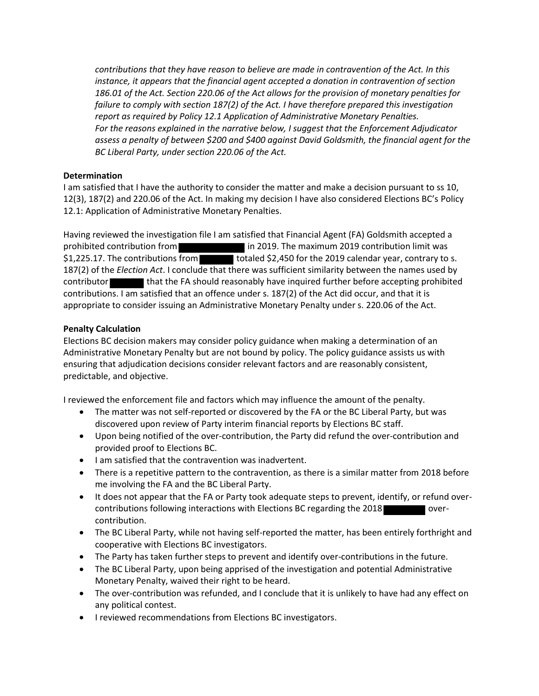*contributions that they have reason to believe are made in contravention of the Act. In this instance, it appears that the financial agent accepted a donation in contravention of section 186.01 of the Act. Section 220.06 of the Act allows for the provision of monetary penalties for failure to comply with section 187(2) of the Act. I have therefore prepared this investigation report as required by Policy 12.1 Application of Administrative Monetary Penalties. For the reasons explained in the narrative below, I suggest that the Enforcement Adjudicator assess a penalty of between \$200 and \$400 against David Goldsmith, the financial agent for the BC Liberal Party, under section 220.06 of the Act.*

# **Determination**

I am satisfied that I have the authority to consider the matter and make a decision pursuant to ss 10, 12(3), 187(2) and 220.06 of the Act. In making my decision I have also considered Elections BC's Policy 12.1: Application of Administrative Monetary Penalties.

Having reviewed the investigation file I am satisfied that Financial Agent (FA) Goldsmith accepted a prohibited contribution from **income in 2019.** The maximum 2019 contribution limit was  $$1,225.17$ . The contributions from totaled  $$2,450$  for the 2019 calendar year, contrary to s. 187(2) of the *Election Act*. I conclude that there was sufficient similarity between the names used by contributor that the FA should reasonably have inquired further before accepting prohibited contributions. I am satisfied that an offence under s. 187(2) of the Act did occur, and that it is appropriate to consider issuing an Administrative Monetary Penalty under s. 220.06 of the Act.

# **Penalty Calculation**

Elections BC decision makers may consider policy guidance when making a determination of an Administrative Monetary Penalty but are not bound by policy. The policy guidance assists us with ensuring that adjudication decisions consider relevant factors and are reasonably consistent, predictable, and objective.

I reviewed the enforcement file and factors which may influence the amount of the penalty.

- The matter was not self-reported or discovered by the FA or the BC Liberal Party, but was discovered upon review of Party interim financial reports by Elections BC staff.
- Upon being notified of the over-contribution, the Party did refund the over-contribution and provided proof to Elections BC.
- I am satisfied that the contravention was inadvertent.
- There is a repetitive pattern to the contravention, as there is a similar matter from 2018 before me involving the FA and the BC Liberal Party.
- It does not appear that the FA or Party took adequate steps to prevent, identify, or refund overcontributions following interactions with Elections BC regarding the 2018 **CONCILECT** overcontribution.
- The BC Liberal Party, while not having self-reported the matter, has been entirely forthright and cooperative with Elections BC investigators.
- The Party has taken further steps to prevent and identify over-contributions in the future.
- The BC Liberal Party, upon being apprised of the investigation and potential Administrative Monetary Penalty, waived their right to be heard.
- The over-contribution was refunded, and I conclude that it is unlikely to have had any effect on any political contest.
- **•** I reviewed recommendations from Elections BC investigators.